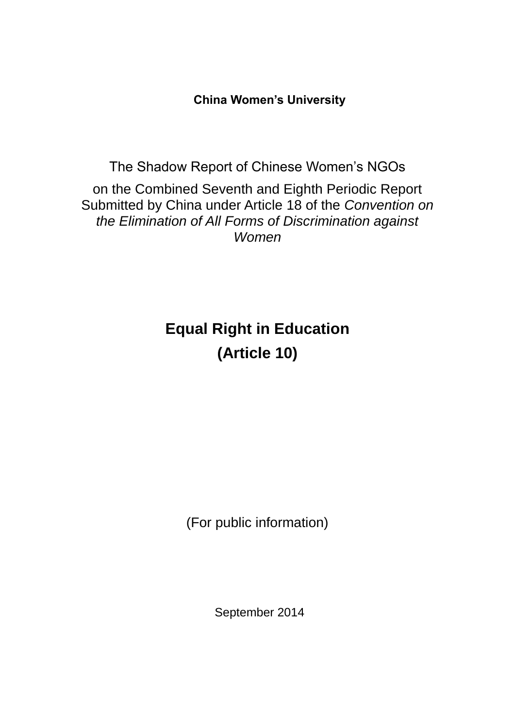**China Women's University**

The Shadow Report of Chinese Women's NGOs on the Combined Seventh and Eighth Periodic Report Submitted by China under Article 18 of the *Convention on the Elimination of All Forms of Discrimination against Women*

# **Equal Right in Education (Article 10)**

(For public information)

September 2014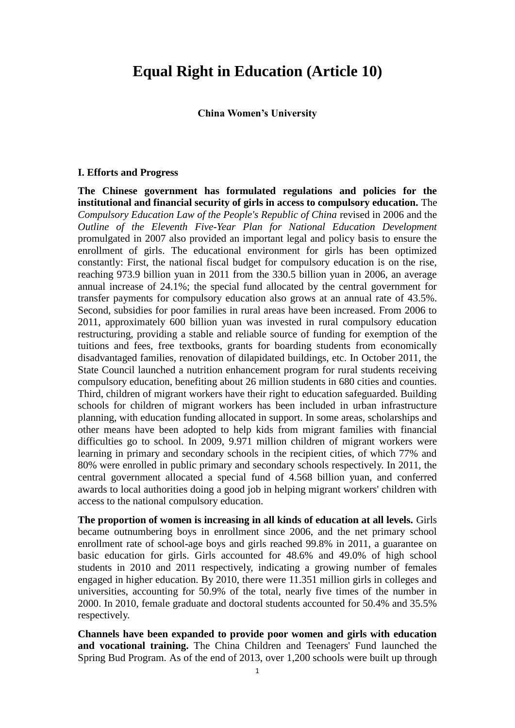## **Equal Right in Education (Article 10)**

#### **China Women's University**

#### **I. Efforts and Progress**

**The Chinese government has formulated regulations and policies for the institutional and financial security of girls in access to compulsory education.** The *Compulsory Education Law of the People's Republic of China* revised in 2006 and the *Outline of the Eleventh Five-Year Plan for National Education Development* promulgated in 2007 also provided an important legal and policy basis to ensure the enrollment of girls. The educational environment for girls has been optimized constantly: First, the national fiscal budget for compulsory education is on the rise, reaching 973.9 billion yuan in 2011 from the 330.5 billion yuan in 2006, an average annual increase of 24.1%; the special fund allocated by the central government for transfer payments for compulsory education also grows at an annual rate of 43.5%. Second, subsidies for poor families in rural areas have been increased. From 2006 to 2011, approximately 600 billion yuan was invested in rural compulsory education restructuring, providing a stable and reliable source of funding for exemption of the tuitions and fees, free textbooks, grants for boarding students from economically disadvantaged families, renovation of dilapidated buildings, etc. In October 2011, the State Council launched a nutrition enhancement program for rural students receiving compulsory education, benefiting about 26 million students in 680 cities and counties. Third, children of migrant workers have their right to education safeguarded. Building schools for children of migrant workers has been included in urban infrastructure planning, with education funding allocated in support. In some areas, scholarships and other means have been adopted to help kids from migrant families with financial difficulties go to school. In 2009, 9.971 million children of migrant workers were learning in primary and secondary schools in the recipient cities, of which 77% and 80% were enrolled in public primary and secondary schools respectively. In 2011, the central government allocated a special fund of 4.568 billion yuan, and conferred awards to local authorities doing a good job in helping migrant workers' children with access to the national compulsory education.

**The proportion of women is increasing in all kinds of education at all levels.** Girls became outnumbering boys in enrollment since 2006, and the net primary school enrollment rate of school-age boys and girls reached 99.8% in 2011, a guarantee on basic education for girls. Girls accounted for 48.6% and 49.0% of high school students in 2010 and 2011 respectively, indicating a growing number of females engaged in higher education. By 2010, there were 11.351 million girls in colleges and universities, accounting for 50.9% of the total, nearly five times of the number in 2000. In 2010, female graduate and doctoral students accounted for 50.4% and 35.5% respectively.

**Channels have been expanded to provide poor women and girls with education and vocational training.** The China Children and Teenagers' Fund launched the Spring Bud Program. As of the end of 2013, over 1,200 schools were built up through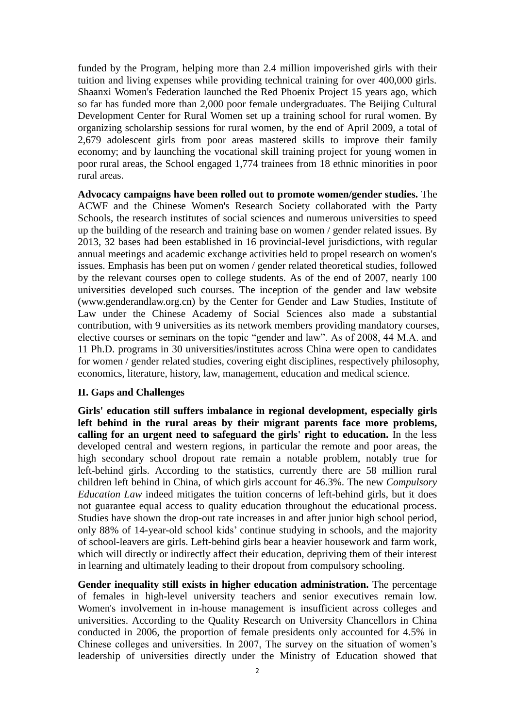funded by the Program, helping more than 2.4 million impoverished girls with their tuition and living expenses while providing technical training for over 400,000 girls. Shaanxi Women's Federation launched the Red Phoenix Project 15 years ago, which so far has funded more than 2,000 poor female undergraduates. The Beijing Cultural Development Center for Rural Women set up a training school for rural women. By organizing scholarship sessions for rural women, by the end of April 2009, a total of 2,679 adolescent girls from poor areas mastered skills to improve their family economy; and by launching the vocational skill training project for young women in poor rural areas, the School engaged 1,774 trainees from 18 ethnic minorities in poor rural areas.

**Advocacy campaigns have been rolled out to promote women/gender studies.** The ACWF and the Chinese Women's Research Society collaborated with the Party Schools, the research institutes of social sciences and numerous universities to speed up the building of the research and training base on women / gender related issues. By 2013, 32 bases had been established in 16 provincial-level jurisdictions, with regular annual meetings and academic exchange activities held to propel research on women's issues. Emphasis has been put on women / gender related theoretical studies, followed by the relevant courses open to college students. As of the end of 2007, nearly 100 universities developed such courses. The inception of the gender and law website (www.genderandlaw.org.cn) by the Center for Gender and Law Studies, Institute of Law under the Chinese Academy of Social Sciences also made a substantial contribution, with 9 universities as its network members providing mandatory courses, elective courses or seminars on the topic "gender and law". As of 2008, 44 M.A. and 11 Ph.D. programs in 30 universities/institutes across China were open to candidates for women / gender related studies, covering eight disciplines, respectively philosophy, economics, literature, history, law, management, education and medical science.

### **II. Gaps and Challenges**

**Girls' education still suffers imbalance in regional development, especially girls left behind in the rural areas by their migrant parents face more problems, calling for an urgent need to safeguard the girls' right to education.** In the less developed central and western regions, in particular the remote and poor areas, the high secondary school dropout rate remain a notable problem, notably true for left-behind girls. According to the statistics, currently there are 58 million rural children left behind in China, of which girls account for 46.3%. The new *Compulsory Education Law* indeed mitigates the tuition concerns of left-behind girls, but it does not guarantee equal access to quality education throughout the educational process. Studies have shown the drop-out rate increases in and after junior high school period, only 88% of 14-year-old school kids' continue studying in schools, and the majority of school-leavers are girls. Left-behind girls bear a heavier housework and farm work, which will directly or indirectly affect their education, depriving them of their interest in learning and ultimately leading to their dropout from compulsory schooling.

**Gender inequality still exists in higher education administration.** The percentage of females in high-level university teachers and senior executives remain low. Women's involvement in in-house management is insufficient across colleges and universities. According to the Quality Research on University Chancellors in China conducted in 2006, the proportion of female presidents only accounted for 4.5% in Chinese colleges and universities. In 2007, The survey on the situation of women's leadership of universities directly under the Ministry of Education showed that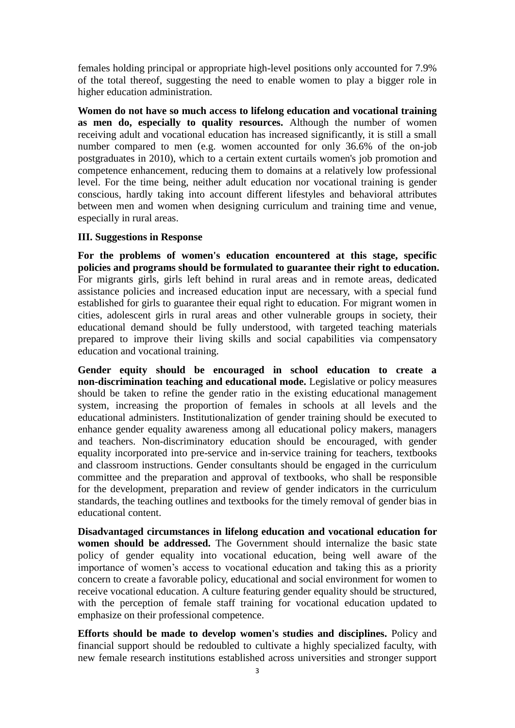females holding principal or appropriate high-level positions only accounted for 7.9% of the total thereof, suggesting the need to enable women to play a bigger role in higher education administration.

**Women do not have so much access to lifelong education and vocational training as men do, especially to quality resources.** Although the number of women receiving adult and vocational education has increased significantly, it is still a small number compared to men (e.g. women accounted for only 36.6% of the on-job postgraduates in 2010), which to a certain extent curtails women's job promotion and competence enhancement, reducing them to domains at a relatively low professional level. For the time being, neither adult education nor vocational training is gender conscious, hardly taking into account different lifestyles and behavioral attributes between men and women when designing curriculum and training time and venue, especially in rural areas.

### **III. Suggestions in Response**

**For the problems of women's education encountered at this stage, specific policies and programs should be formulated to guarantee their right to education.**  For migrants girls, girls left behind in rural areas and in remote areas, dedicated assistance policies and increased education input are necessary, with a special fund established for girls to guarantee their equal right to education. For migrant women in cities, adolescent girls in rural areas and other vulnerable groups in society, their educational demand should be fully understood, with targeted teaching materials prepared to improve their living skills and social capabilities via compensatory education and vocational training.

**Gender equity should be encouraged in school education to create a non-discrimination teaching and educational mode.** Legislative or policy measures should be taken to refine the gender ratio in the existing educational management system, increasing the proportion of females in schools at all levels and the educational administers. Institutionalization of gender training should be executed to enhance gender equality awareness among all educational policy makers, managers and teachers. Non-discriminatory education should be encouraged, with gender equality incorporated into pre-service and in-service training for teachers, textbooks and classroom instructions. Gender consultants should be engaged in the curriculum committee and the preparation and approval of textbooks, who shall be responsible for the development, preparation and review of gender indicators in the curriculum standards, the teaching outlines and textbooks for the timely removal of gender bias in educational content.

**Disadvantaged circumstances in lifelong education and vocational education for women should be addressed.** The Government should internalize the basic state policy of gender equality into vocational education, being well aware of the importance of women's access to vocational education and taking this as a priority concern to create a favorable policy, educational and social environment for women to receive vocational education. A culture featuring gender equality should be structured, with the perception of female staff training for vocational education updated to emphasize on their professional competence.

**Efforts should be made to develop women's studies and disciplines.** Policy and financial support should be redoubled to cultivate a highly specialized faculty, with new female research institutions established across universities and stronger support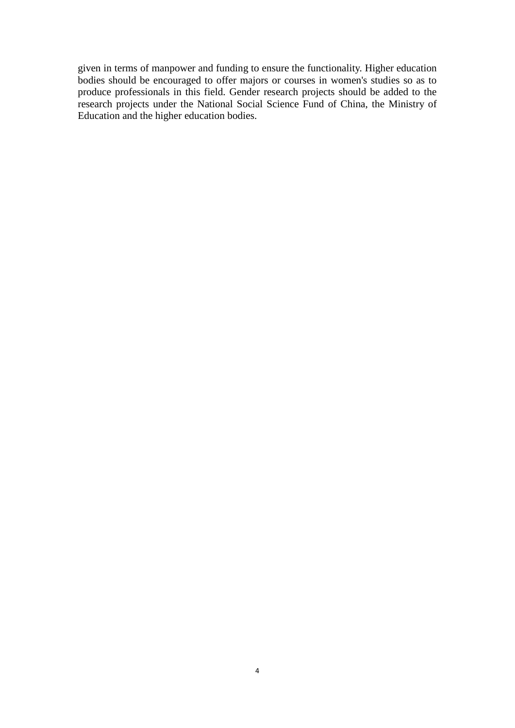given in terms of manpower and funding to ensure the functionality. Higher education bodies should be encouraged to offer majors or courses in women's studies so as to produce professionals in this field. Gender research projects should be added to the research projects under the National Social Science Fund of China, the Ministry of Education and the higher education bodies.